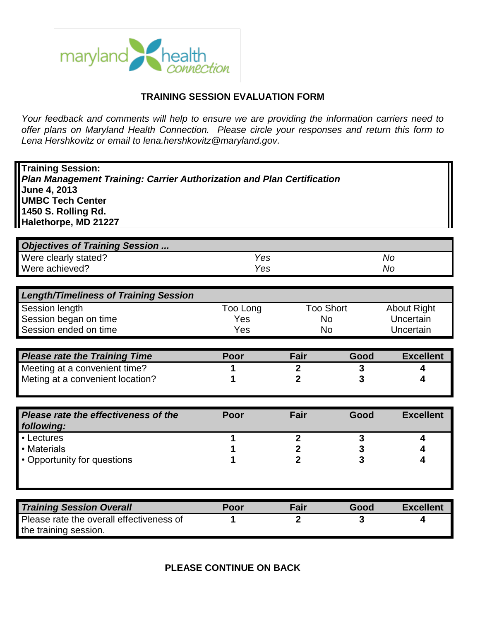

## **TRAINING SESSION EVALUATION FORM**

*Your feedback and comments will help to ensure we are providing the information carriers need to offer plans on Maryland Health Connection. Please circle your responses and return this form to Lena Hershkovitz or email to lena.hershkovitz@maryland.gov.* 

| <b>Training Session:</b><br><b>Plan Management Training: Carrier Authorization and Plan Certification</b><br>June 4, 2013<br><b>UMBC Tech Center</b><br>1450 S. Rolling Rd.<br>Halethorpe, MD 21227 |          |                               |                  |                    |  |
|-----------------------------------------------------------------------------------------------------------------------------------------------------------------------------------------------------|----------|-------------------------------|------------------|--------------------|--|
| <b>Objectives of Training Session </b>                                                                                                                                                              |          |                               |                  |                    |  |
| Were clearly stated?                                                                                                                                                                                | Yes      |                               |                  | <b>No</b>          |  |
| Were achieved?                                                                                                                                                                                      | Yes      |                               |                  | <b>No</b>          |  |
|                                                                                                                                                                                                     |          |                               |                  |                    |  |
| <b>Length/Timeliness of Training Session</b>                                                                                                                                                        |          |                               |                  |                    |  |
| Session length                                                                                                                                                                                      | Too Long |                               | <b>Too Short</b> | <b>About Right</b> |  |
| Session began on time                                                                                                                                                                               | Yes      | <b>No</b>                     |                  | Uncertain          |  |
| Session ended on time                                                                                                                                                                               | Yes      | <b>No</b>                     |                  | Uncertain          |  |
|                                                                                                                                                                                                     |          |                               |                  |                    |  |
| <b>Please rate the Training Time</b>                                                                                                                                                                | Poor     | <b>Fair</b>                   | Good             | <b>Excellent</b>   |  |
| Meeting at a convenient time?                                                                                                                                                                       |          | $\overline{2}$                | 3                | 4                  |  |
| Meting at a convenient location?                                                                                                                                                                    |          | $\overline{2}$                | 3                | 4                  |  |
|                                                                                                                                                                                                     |          |                               |                  |                    |  |
| Please rate the effectiveness of the<br>following:                                                                                                                                                  | Poor     | Fair                          | Good             | <b>Excellent</b>   |  |
| • Lectures                                                                                                                                                                                          | 1        | $\boldsymbol{2}$              | 3                | 4                  |  |
| • Materials                                                                                                                                                                                         |          | $\mathbf{2}$                  | 3                | 4                  |  |
| • Opportunity for questions                                                                                                                                                                         |          | $\overline{2}$                | 3                | 4                  |  |
|                                                                                                                                                                                                     |          |                               |                  |                    |  |
|                                                                                                                                                                                                     |          |                               |                  |                    |  |
|                                                                                                                                                                                                     |          |                               |                  |                    |  |
| <b>Training Session Overall</b><br>Please rate the overall effectiveness of                                                                                                                         | Poor     | <b>Fair</b><br>$\overline{2}$ | Good<br>3        | <b>Excellent</b>   |  |

**PLEASE CONTINUE ON BACK**